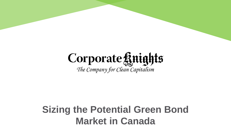# Corporate ginights

The Company for Clean Capitalism

## **Sizing the Potential Green Bond Market in Canada**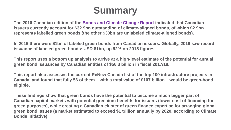## **Summary**

**The 2016 Canadian edition of the [Bonds and Climate Change Report](https://www.climatebonds.net/files/files/CB-HSBC-2016-Canada-Final-01A-1.pdf) indicated that Canadian issuers currently account for \$32.9bn outstanding of climate-aligned bonds, of which \$2.9bn represents labelled green bonds (the other \$30bn are unlabeled climate-aligned bonds).** 

**In 2016 there were \$1bn of labeled green bonds from Canadian issuers. Globally, 2016 saw record issuance of labeled green bonds: USD 81bn, up 92% on 2015 figures.**

**This report uses a bottom up analysis to arrive at a high-level estimate of the potential for annual green bond issuances by Canadian entities of \$56.3 billion in fiscal 2017/18.** 

**This report also assesses the current ReNew Canada list of the top 100 infrastructure projects in Canada, and found that fully 56 of them – with a total value of \$107 billion – would be green-bond eligible.**

**These findings show that green bonds have the potential to become a much bigger part of Canadian capital markets with potential greenium benefits for issuers (lower cost of financing for green purposes), while creating a Canadian cluster of green finance expertise for arranging global green bond issues (a market estimated to exceed \$1 trillion annually by 2020, according to Climate Bonds Initiative).**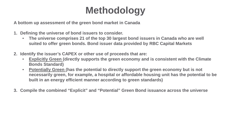# **Methodology**

**A bottom up assessment of the green bond market in Canada** 

- **1. Defining the universe of bond issuers to consider.**
	- **The universe comprises 21 of the top 30 largest bond issuers in Canada who are well suited to offer green bonds. Bond issuer data provided by RBC Capital Markets**
- **2. Identify the issuer's CAPEX or other use of proceeds that are:**
	- **Explicitly Green (directly supports the green economy and is consistent with the Climate Bonds Standard)**
	- **Potentially Green (has the potential to directly support the green economy but is not necessarily green, for example, a hospital or affordable housing unit has the potential to be built in an energy efficient manner according to green standards)**
- **3. Compile the combined "Explicit" and "Potential" Green Bond issuance across the universe**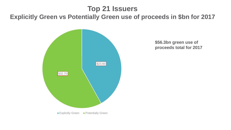## **Top 21 Issuers Explicitly Green vs Potentially Green use of proceeds in \$bn for 2017**



**\$56.3bn green use of proceeds total for 2017**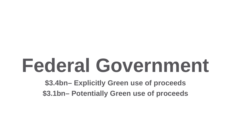# **Federal Government**

**\$3.4bn– Explicitly Green use of proceeds \$3.1bn– Potentially Green use of proceeds**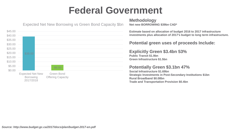## **Federal Government**



Expected Net New Borrowing vs Green Bond Capacity \$bn

#### **Methodology**

**Net new BORROWING \$39bn CAD\***

**Estimate based on allocation of budget 2016 to 2017 infrastructure investments plus allocation of 2017's budget to long term infrastructure.**

#### **Potential green uses of proceeds Include:**

**Explicitly Green \$3.4bn 53% Public Transit \$1.9bn Green Infrastructure \$1.5bn**

#### **Potentially Green \$3.1bn 47%**

**Social Infrastructure \$1.69bn Strategic Investments in Post-Secondary Institutions \$1bn Rural Broadband \$0.08bn Trade and Transportation Provision \$0.4bn**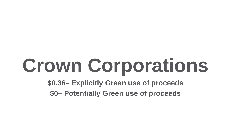# **Crown Corporations**

**\$0.36– Explicitly Green use of proceeds \$0– Potentially Green use of proceeds**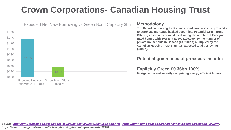## **Crown Corporations- Canadian Housing Trust**



**The Canadian housing trust issues bonds and uses the proceeds to purchase mortgage backed securities. Potential Green Bond Offerings estimates derived by dividing the number of Energuide rated homes with 80% and above (120,000) by the number of private households in Canada (13 million) multiplied by the Canadian Housing Trust's annual expected total borrowing (\$40bn).**

#### **Potential green uses of proceeds Include:**

#### **Explicitly Green \$0.36bn 100%**

**Mortgage backed security comprising energy efficient homes.**

*Source:<http://www.statcan.gc.ca/tables-tableaux/sum-som/l01/cst01/famil55c-eng.htm> , [https://www.cmhc-schl.gc.ca/en/hoficlincl/in/camobo/camobo\\_002.cfm](https://www.cmhc-schl.gc.ca/en/hoficlincl/in/camobo/camobo_002.cfm), https://www.nrcan.gc.ca/energy/efficiency/housing/home-improvements/18392*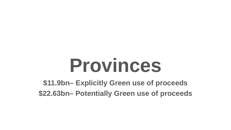# **Provinces**

**\$11.9bn– Explicitly Green use of proceeds \$22.63bn– Potentially Green use of proceeds**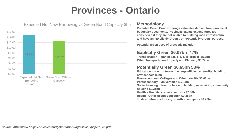## **Provinces - Ontario**



**Potential Green Bond Offerings estimates derived from provincial budgetary documents. Provincial capital expenditures are considered if they are not related to building road infrastructure and have an "Explicitly Green", or "Potentially Green" purpose.** 

**Potential green uses of proceeds Include:**

#### **Explicitly Green \$6.07bn 47%**

**Transportation – Transit e.g. TTC LRT project \$5.3bn Other Transportation Property and Planning \$0.77bn**

#### **Potentially Green \$6.65bn 53%**

**Education Infrastructure e.g. energy efficiency retrofits, building new schools \$2bn Postsecondary - Colleges and Other retrofits \$0.63bn Postsecondary – Universities \$0.19bn Social Housing Infrastructure e.g. building or repairing community housing \$0.31bn Health – Hospitals repairs, retrofits \$2.88bn Health - Other Health Education \$0.38bn Justice Infrastructure e.g. courthouse repairs \$0.26bn**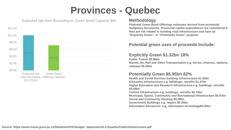## **Provinces - Quebec**



#### Expected Net New Borrowing vs Green Bond Capacity \$bn

#### **Methodology**

**Potential Green Bond Offerings estimates derived from provincial budgetary documents. Provincial capital expenditures are considered if they are not related to building road infrastructure and have an "Explicitly Green", or "Potentially Green" purpose.** 

#### **Potential green uses of proceeds Include:**

#### **Explicitly Green \$1.32bn 18%**

**Public Transit \$0.96bn Marine, Air, Rail and Other Transportation e.g. ferries, wharves, stations, railways \$0.36bn**

#### **Potentially Green \$5.95bn 82%**

**Health and Social Services building Infrastructure \$1.62bn Education Infrastructure e.g. buildings, retrofits \$1.47bn Higher Education and Research Infrastructure e.g. buildings, retrofits \$0.68bn Culture Infrastructure e.g. buildings, retrofits \$0.19bn**

**Municipal, Sports, Community and Recreational Infrastructure \$0.97bn Social and Community Housing \$0.28bn**

**Government Buildings e.g. repairs \$0.35bn**

**Information Resources e.g. information technology\$0.40bn**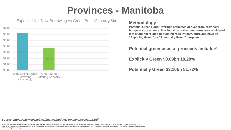## **Provinces - Manitoba**



### Expected Net New Borrowing vs Green Bond Capacity \$bn **Methodology**

**Potential Green Bond Offerings estimates derived from provincial budgetary documents. Provincial capital expenditures are considered if they are not related to building road infrastructure and have an "Explicitly Green", or "Potentially Green" purpose.** 

#### **Potential green uses of proceeds Include:\***

**Explicitly Green \$0.69bn 18.28%**

**Potentially Green \$3.10bn 81.72%**

#### *Source: https://www.gov.mb.ca/finance/budget16/papers/speech16.pdf*

**\*Manitoba reports capital expenditure using CPA standards. Recognizing amortization in this way allocates the cost of capital assets to the periods of service provided and amortization is recorded as an**  expense in the statement of operations. We used Quebec as a comparable province to estimate the split between Explicitly Green and Potentially Green projects as Quebec has similar debt capacity as well as a **state owned hydro company**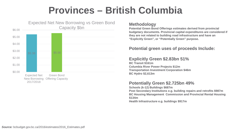## **Provinces – British Columbia**



**Potential Green Bond Offerings estimates derived from provincial budgetary documents. Provincial capital expenditures are considered if they are not related to building road infrastructure and have an "Explicitly Green", or "Potentially Green" purpose.** 

#### **Potential green uses of proceeds Include:**

#### **Explicitly Green \$2.83bn 51%**

**BC Transit \$161m Columbia River Power Projects \$12m Transportation Investment Corporation \$46m BC Hydro \$2,613m**

#### **Potentially Green \$2.725bn 49%**

**Schools (k-12) Buildings \$687m Post Secondary Institutions e.g. building repairs and retrofits \$987m BC Housing Management Commission and Provincial Rental Housing \$134m Health Infrastructure e.g. buildings \$917m**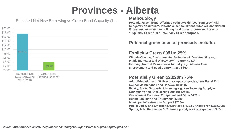## **Provinces - Alberta**



#### Expected Net New Borrowing vs Green Bond Capacity \$bn

#### **Methodology**

**Potential Green Bond Offerings estimates derived from provincial budgetary documents. Provincial capital expenditures are considered if they are not related to building road infrastructure and have an "Explicitly Green", or "Potentially Green" purpose.** 

#### **Potential green uses of proceeds Include:**

#### **Explicitly Green \$981m 25%**

**Climate Change, Environmental Protection & Sustainability e.g. Municipal Water and Wastewater Program \$931m Farming, Natural Resources & Industry e.g. Alberta Tree Improvement and Seed Centre (ATISC) \$50m**

#### **Potentially Green \$2,920m 75%**

**Adult Education and Skills e.g. campus upgrades, retrofits \$292m Capital Maintenance and Renewal \$1000m Family, Social Supports & Housing e.g. New Housing Supply – Community and Specialized Housing \$248m Government Facilities, Equipment and Other \$277m Health Facilities and Equipment \$688m Municipal Infrastructure Support \$238m Public Safety and Emergency Services e.g. Courthouse renewal \$90m Sports, Arts, Recreation & Culture e.g. Calgary Zoo expansion \$87m**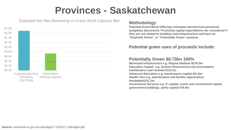## **Provinces - Saskatchewan**



### Expected Net New Borrowing vs Green Bond Capacity \$bn **Methodology**

**Potential Green Bond Offerings estimates derived from provincial budgetary documents. Provincial capital expenditures are considered if they are not related to building road infrastructure and have an "Explicitly Green", or "Potentially Green" purpose.** 

#### **Potential green uses of proceeds Include:**

#### **Potentially Green \$0.73bn 100%**

**Municipal Infrastructure e.g. Regina Stadium \$279.3m Education Capital e.g. School infrastructure and preventative maintenance and renewal \$119.1m Advanced Education e.g. maintenance capital \$21.5m Health Care e.g. maintenance and facility regeneration, Hostpitals\$231.2m Government Services e.g. IT capital, courts and correctional capital, government buildings, parks capital \$79.9m**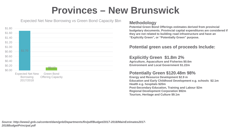## **Provinces – New Brunswick**



### Expected Net New Borrowing vs Green Bond Capacity \$bn **Methodology**

**Potential Green Bond Offerings estimates derived from provincial budgetary documents. Provincial capital expenditures are considered if they are not related to building road infrastructure and have an "Explicitly Green", or "Potentially Green" purpose.** 

#### **Potential green uses of proceeds Include:**

#### **Explicitly Green \$1.8m 2%**

**Agriculture, Aquaculture and Fisheries \$0.6m Environment and Local Government \$1.22m** 

#### **Potentially Green \$120.48m 98%**

**Energy and Resource Development \$2.9 m Education and Early Childhood Development e.g. schools \$2.1m Health e.g. hospitals \$20m Post-Secondary Education, Training and Labour \$2m Regional Development Corporation \$92m Tourism, Heritage and Culture \$9.1m**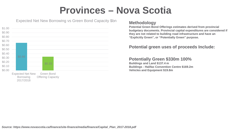## **Provinces – Nova Scotia**



### Expected Net New Borrowing vs Green Bond Capacity \$bn **Methodology**

**Potential Green Bond Offerings estimates derived from provincial budgetary documents. Provincial capital expenditures are considered if they are not related to building road infrastructure and have an "Explicitly Green", or "Potentially Green" purpose.** 

#### **Potential green uses of proceeds Include:**

#### **Potentially Green \$330m 100%**

**Buildings and Land \$137.4 m Buildings - Halifax Convention Centre \$169.2m Vehicles and Equipment \$19.8m**

\$0.50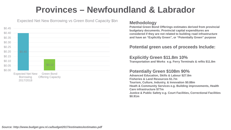## **Provinces – Newfoundland & Labrador**



### Expected Net New Borrowing vs Green Bond Capacity \$bn **Methodology**

**Potential Green Bond Offerings estimates derived from provincial budgetary documents. Provincial capital expenditures are considered if they are not related to building road infrastructure and have an "Explicitly Green", or "Potentially Green" purpose** 

#### **Potential green uses of proceeds Include:**

#### **Explicitly Green \$11.8m 10%**

**Transportation and Works e.g. Ferry Terminals & refits \$11.8m**

#### **Potentially Green \$108m 90%**

**Advanced Education, Skills & Labour \$27.8m Fisheries & Land Resources \$1.7m Tourism, Culture, Industry, & Innovation \$0.88m Heath & Community Services e.g. Building improvements, Health Care infrastructure \$77m Justice & Public Safety e.g. Court Facilities, Correctional Facilities \$0.91m**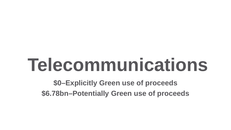# **Telecommunications**

**\$0–Explicitly Green use of proceeds \$6.78bn–Potentially Green use of proceeds**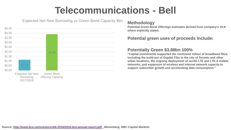## **Telecommunications - Bell**



### Expected Net New Borrowing vs Green Bond Capacity \$bn **Methodology**

**Potential Green Bond Offerings estimates derived from company's 10-K where explicitly stated.**

#### **Potential green uses of proceeds Include:**

#### **Potentially Green \$3.88bn 100%**

**"Capital investments supported the continued rollout of broadband fibre, including the build-out of Gigabit Fibe in the city of Toronto and other urban locations, the ongoing deployment of our4G LTE and LTE-A mobile networks, and expansion of wireless and internet network capacity to support subscriber growth and accelerating data consumption."**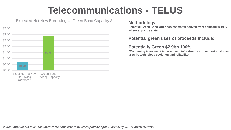## **Telecommunications - TELUS**



### Expected Net New Borrowing vs Green Bond Capacity \$bn **Methodology**

**Potential Green Bond Offerings estimates derived from company's 10-K where explicitly stated.**

#### **Potential green uses of proceeds Include:**

#### **Potentially Green \$2.9bn 100%**

**"Continuing investment in broadband infrastructure to support customer growth, technology evolution and reliability"**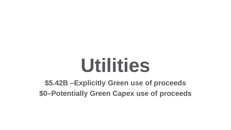# **Utilities**

## **\$5.42B –Explicitly Green use of proceeds \$0–Potentially Green Capex use of proceeds**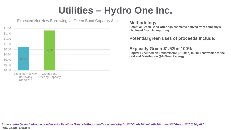## **Utilities – Hydro One Inc.**



### Expected Net New Borrowing vs Green Bond Capacity \$bn **Methodology**

**Potential Green Bond Offerings estimates derived from company's disclosed financial reporting**

### **Potential green uses of proceeds Include:**

#### **Explicitly Green \$1.52bn 100%**

**Capital Expended on Transmission(\$1.09bn) to link renewables to the grid and Distribution (\$648bn) of energy**

*Source: [http://www.hydroone.com/InvestorRelations/FinancialReporting/Documents/Hydro%20One%20Limited%20Annual%20Report%202016.pdf](http://www.hydroone.com/InvestorRelations/FinancialReporting/Documents/Hydro One Limited Annual Report 2016.pdf) / RBC Capital Markets*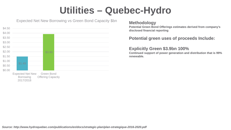## **Utilities – Quebec-Hydro**



Expected Net New Borrowing vs Green Bond Capacity \$bn **Methodology**

**Potential Green Bond Offerings estimates derived from company's disclosed financial reporting**

#### **Potential green uses of proceeds Include:**

#### **Explicitly Green \$3.9bn 100%**

**Continued support of power generation and distribution that is 99% renewable.**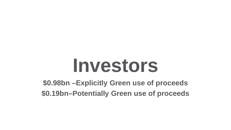# **Investors**

**\$0.98bn –Explicitly Green use of proceeds \$0.19bn–Potentially Green use of proceeds**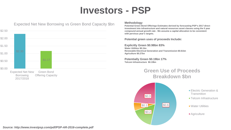## **Investors - PSP**



#### Expected Net New Borrowing vs Green Bond Capacity \$bn

#### **Methodology**

**Potential Green Bond Offerings Estimates derived by forecasting PSP's 2017 direct investment into infrastructure and natural resources asset classes using the 5 year compound annual growth rate . We assume a capital allocation to be consistent with pervious year's targets.** 

**Potential green uses of proceeds Include:**

**Explicitly Green \$0.98bn 83% Water Utilities \$0.1bn Renewable Electrical Generation and Transmission \$0.61bn Agriculture \$0.27bn**

**Potentially Green \$0.19bn 17% Telcom Infrastructure \$0.19bn**

### **Green Use of Proceeds Breakdown \$bn**



- **Electric Generation & Transmition**
- **Telcom Infrastructure**
- **Nater Utilities**
- **Agriculture**

*Source: http://www.investpsp.com/pdf/PSP-AR-2016-complete.pdf*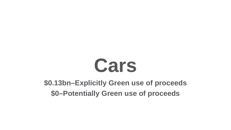# **Cars**

## **\$0.13bn–Explicitly Green use of proceeds \$0–Potentially Green use of proceeds**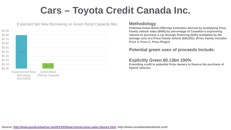## **Cars – Toyota Credit Canada Inc.**



#### Expected Net New Borrowing vs Green Bond Capacity \$bn

#### **Methodology**

**Potential Green Bond Offerings Estimates derived by multiplying Prius Family vehicle sales (8095) by percentage of Canadian's expressing interest to purchase a car through financing (63%) multiplied by the average cost of a Prius Family vehicle (\$26,051). (Prius Family includes Prius V, Prius C, Prius Plugin)**

#### **Potential green uses of proceeds Include:**

#### **Explicitly Green \$0.13bn 100%**

**Extending credit to potential Prius owners to finance the purchase of Hybrid Vehicles**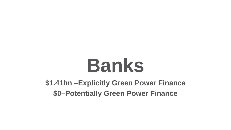# **Banks**

**\$1.41bn –Explicitly Green Power Finance \$0–Potentially Green Power Finance**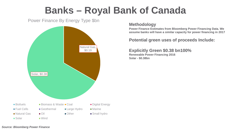## **Banks – Royal Bank of Canada**

Power Finance By Energy Type \$bn



#### **Methodology**

**Power Finance Estimates from Bloomberg Power Financing Data. We assume banks will have a similar capacity for power financing in 2017**

#### **Potential green uses of proceeds Include:**

#### **Explicitly Green \$0.38 bn100% Renewable Power Financing 2016 Solar - \$0.38bn**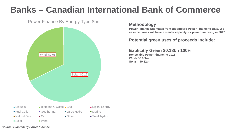## **Banks – Canadian International Bank of Commerce**



#### **Methodology**

**Power Finance Estimates from Bloomberg Power Financing Data. We assume banks will have a similar capacity for power financing in 2017**

#### **Potential green uses of proceeds Include:**

#### **Explicitly Green \$0.18bn 100% Renewable Power Financing 2016 Wind- \$0.06bn Solar – \$0.12bn**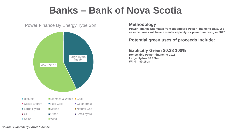## **Banks – Bank of Nova Scotia**

#### Power Finance By Energy Type \$bn



#### **Methodology**

**Power Finance Estimates from Bloomberg Power Financing Data. We assume banks will have a similar capacity for power financing in 2017**

#### **Potential green uses of proceeds Include:**

#### **Explicitly Green \$0.28 100% Renewable Power Financing 2016 Large Hydro- \$0.12bn Wind – \$0.16bn**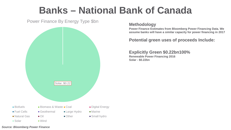## **Banks – National Bank of Canada**

Power Finance By Energy Type \$bn



**Methodology**

**Power Finance Estimates from Bloomberg Power Financing Data. We assume banks will have a similar capacity for power financing in 2017**

**Potential green uses of proceeds Include:**

**Explicitly Green \$0.22bn100% Renewable Power Financing 2016 Solar - \$0.22bn**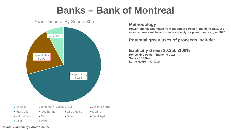## **Banks – Bank of Montreal**

Power Finance By Source \$bn



#### **Methodology**

**Power Finance Estimates from Bloomberg Power Financing Data. We assume banks will have a similar capacity for power financing in 2017**

### **Potential green uses of proceeds Include:**

#### **Explicitly Green \$0.35bn100%**

**Renewable Power Financing 2016 Solar - \$0.04bn Large Hydro – \$0.31bn**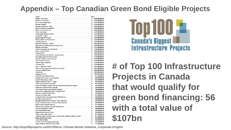## **Appendix – Top Canadian Green Bond Eligible Projects**

| Project                                                                    | Value                  |
|----------------------------------------------------------------------------|------------------------|
| Muskrat Falls Project                                                      | Ś<br>9,100,000,000.00  |
| Eglinton Crosstown LRT                                                     | Ś<br>9,100,000,000.00  |
| Site C Clean Energy Project                                                | \$<br>8,775,000,000.00 |
| <b>Romaine Complex</b>                                                     | Ś<br>6,500,000,000.00  |
| Keeyask Hydroelectric Project                                              | Ŝ<br>6,496,000,000.00  |
| Réseau électrique métropolitain                                            | \$<br>5,900,000,000.00 |
| Bipole III Transmission Line                                               | \$<br>4,900,000,000.00 |
| <b>Turcot Interchange</b>                                                  | \$<br>3,670,000,000.00 |
| Scarborough Subway Extension                                               | \$<br>3,560,000,000.00 |
| Ottawa LRT-Stage 2                                                         | \$<br>3,315,000,000.00 |
| Spadina Subway Extension                                                   | Ŝ<br>3,180,000,000.00  |
| <b>Montreal Metro Car Replacement</b>                                      | Ś<br>2,191,000,000.00  |
| <b>Confederation Line</b>                                                  | \$<br>2,130,000,000.00 |
| Edmonton Valley Line - Stage 1                                             | \$<br>1,800,000,000.00 |
| Renovations to Beauharnois Generating Station                              | \$<br>1,600,000,000.00 |
| Maritime Link Project                                                      | \$<br>1,577,000,000.00 |
| York Viva Bus Rapid Transit (vivaNext)                                     | \$<br>1,500,000,000.00 |
| <b>Barrie Corridor GO RER</b>                                              | \$<br>1,440,000,000.00 |
| Hurontario LRT                                                             | \$<br>1,400,000,000.00 |
| Chamouchouane-Bout-de-l'Île Transmission Line                              | \$<br>1,400,000,000.00 |
| Wataynikaneyap Transmission Project                                        | \$<br>1,350,000,000.00 |
| <b>Romaine Complex Transmission Line</b>                                   | Ś<br>1,300,000,000.00  |
| Port Hope Area Initiative                                                  | \$<br>1,280,000,000.00 |
| <b>Alberta Carbon Trunk Line</b>                                           | Ś<br>1,200,000,000.00  |
| Finch West LRT                                                             | \$<br>1,200,000,000.00 |
| New TTC Light-Rail Vehicles                                                | \$<br>1,187,000,000.00 |
| John Hart Generating Station Replacement Project                           | \$<br>1,093,000,000.00 |
| Henvey Inlet Wind Project                                                  | Ś<br>1,000,000,000.00  |
| Hamilton LRT                                                               | \$<br>1,000,000,000.00 |
| Sheppard East LRT                                                          | \$<br>1,000,000,000.00 |
| <b>Giant Mine Remediation Project</b>                                      | Ś<br>903,500,000.00    |
| Canadian Forces Base Trenton Expansion                                     | \$<br>860,000,000.00   |
| East Rail Maintenance Facility                                             | \$<br>859,200,000.00   |
| Region of Waterloo ION LRT - Stage 1                                       | Ś<br>818,000,000.00    |
| Union Station Revitalization Project                                       | \$<br>800,700,000.00   |
| North End Sewage Treatment Plant Biological Nutrient Removal Upgrade       | Ś<br>794,600,000.00    |
| Ruskin Dam and Powerhouse Upgrade                                          | Ś<br>748,000,000.00    |
| Union Station Infrastructure Renewal Program                               | \$<br>700,000,000.00   |
| Lions Gate Secondary Wastewater Treatment Plant                            | \$<br>700,000,000.00   |
| Marmora Pumped Storage Project                                             | \$<br>700,000,000.00   |
| Juan de Fuca Power Cable                                                   | \$<br>665,000,000.00   |
| Gordon M. Shrum Generating Station Refurbishment                           | \$<br>600,000,000.00   |
| East-West Transmission Tie                                                 | \$<br>600,000,000.00   |
| Bonnybrook Wastewater Treatment Plant D Expansion                          | \$<br>600,000,000.00   |
| Annacis Island Wastewater Treatment Plant Expansion                        | \$<br>600,000,000.00   |
| Réno-Systèmes Program Phase IV                                             | \$<br>582,500,000.00   |
| Wilson Facility Enhancement and Yard Expansion                             | Ś<br>506.400.000.00    |
| Tazi Twé Hydroelectric Project                                             | \$<br>500,000,000.00   |
| Nicolas-Riou Wind Project                                                  | \$<br>500,000,000.00   |
| Regina Railyard Renewal Project                                            | \$<br>500,000,000.00   |
| <b>Upper Lillooet Hydro Project</b>                                        | \$<br>491,600,000.00   |
| Southwest Rapid Transitway (Stage 2) and Pembina Highway Underpass Project | \$<br>467,300,000.00   |
| Meikle Wind Energy Project                                                 | \$<br>456,000,000.00   |
| Hanlan Water Project                                                       | \$<br>450,000,000.00   |
| <b>Côte-Vertu Station Underground Garage</b>                               | \$<br>350,200,000.00   |
| als Coal Minton Bollanton Coa                                              | ċ<br>225. COD O        |

Top 100 **= Canada's Biggest Infrastructure Projects** 

**# of Top 100 Infrastructure Projects in Canada that would qualify for green bond financing: 56 with a total value of \$107bn**

*Source: http://top100projects.ca/2017filters/, Climate Bonds Initiative, Corporate Knights*